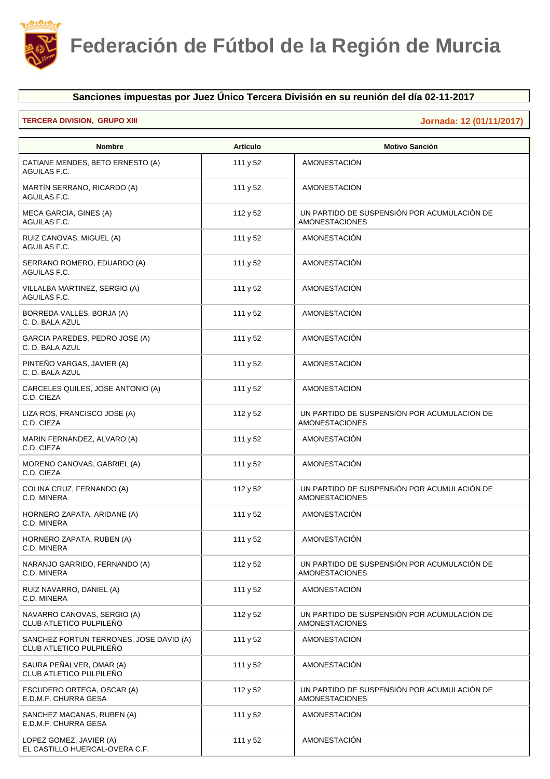

## **Sanciones impuestas por Juez Único Tercera División en su reunión del día 02-11-2017**

## **TERCERA DIVISION, GRUPO XIII Jornada: 12 (01/11/2017)**

| <b>Nombre</b>                                                      | <b>Artículo</b> | <b>Motivo Sanción</b>                                                |
|--------------------------------------------------------------------|-----------------|----------------------------------------------------------------------|
| CATIANE MENDES, BETO ERNESTO (A)<br>AGUILAS F.C.                   | 111 y 52        | <b>AMONESTACIÓN</b>                                                  |
| MARTÍN SERRANO, RICARDO (A)<br>AGUILAS F.C.                        | 111 y 52        | AMONESTACIÓN                                                         |
| MECA GARCIA, GINES (A)<br>AGUILAS F.C.                             | 112 y 52        | UN PARTIDO DE SUSPENSIÓN POR ACUMULACIÓN DE<br><b>AMONESTACIONES</b> |
| RUIZ CANOVAS, MIGUEL (A)<br>AGUILAS F.C.                           | 111 y 52        | AMONESTACIÓN                                                         |
| SERRANO ROMERO, EDUARDO (A)<br>AGUILAS F.C.                        | 111 $y$ 52      | AMONESTACIÓN                                                         |
| VILLALBA MARTINEZ, SERGIO (A)<br>AGUILAS F.C.                      | 111 y 52        | AMONESTACIÓN                                                         |
| BORREDA VALLES, BORJA (A)<br>C. D. BALA AZUL                       | 111 y 52        | <b>AMONESTACIÓN</b>                                                  |
| GARCIA PAREDES, PEDRO JOSE (A)<br>C. D. BALA AZUL                  | 111 y 52        | <b>AMONESTACIÓN</b>                                                  |
| PINTEÑO VARGAS, JAVIER (A)<br>C. D. BALA AZUL                      | 111 y 52        | AMONESTACIÓN                                                         |
| CARCELES QUILES, JOSE ANTONIO (A)<br>C.D. CIEZA                    | 111 y 52        | AMONESTACIÓN                                                         |
| LIZA ROS, FRANCISCO JOSE (A)<br>C.D. CIEZA                         | 112 y 52        | UN PARTIDO DE SUSPENSIÓN POR ACUMULACIÓN DE<br><b>AMONESTACIONES</b> |
| MARIN FERNANDEZ, ALVARO (A)<br>C.D. CIEZA                          | 111 y 52        | AMONESTACIÓN                                                         |
| MORENO CANOVAS, GABRIEL (A)<br>C.D. CIEZA                          | 111 y 52        | <b>AMONESTACIÓN</b>                                                  |
| COLINA CRUZ, FERNANDO (A)<br>C.D. MINERA                           | 112 y 52        | UN PARTIDO DE SUSPENSIÓN POR ACUMULACIÓN DE<br><b>AMONESTACIONES</b> |
| HORNERO ZAPATA, ARIDANE (A)<br>C.D. MINERA                         | 111 y 52        | AMONESTACIÓN                                                         |
| HORNERO ZAPATA, RUBEN (A)<br>C.D. MINERA                           | 111 y 52        | AMONESTACIÓN                                                         |
| NARANJO GARRIDO, FERNANDO (A)<br>C.D. MINERA                       | 112 y 52        | UN PARTIDO DE SUSPENSIÓN POR ACUMULACIÓN DE<br><b>AMONESTACIONES</b> |
| RUIZ NAVARRO, DANIEL (A)<br>C.D. MINERA                            | 111 y 52        | AMONESTACIÓN                                                         |
| NAVARRO CANOVAS, SERGIO (A)<br>CLUB ATLETICO PULPILEÑO             | 112 y 52        | UN PARTIDO DE SUSPENSIÓN POR ACUMULACIÓN DE<br><b>AMONESTACIONES</b> |
| SANCHEZ FORTUN TERRONES, JOSE DAVID (A)<br>CLUB ATLETICO PULPILEÑO | 111 y 52        | AMONESTACIÓN                                                         |
| SAURA PEÑALVER, OMAR (A)<br>CLUB ATLETICO PULPILEÑO                | 111 y 52        | <b>AMONESTACIÓN</b>                                                  |
| ESCUDERO ORTEGA, OSCAR (A)<br>E.D.M.F. CHURRA GESA                 | 112 y 52        | UN PARTIDO DE SUSPENSIÓN POR ACUMULACIÓN DE<br><b>AMONESTACIONES</b> |
| SANCHEZ MACANAS, RUBEN (A)<br>E.D.M.F. CHURRA GESA                 | 111 y 52        | AMONESTACIÓN                                                         |
| LOPEZ GOMEZ, JAVIER (A)<br>EL CASTILLO HUERCAL-OVERA C.F.          | 111 y 52        | <b>AMONESTACIÓN</b>                                                  |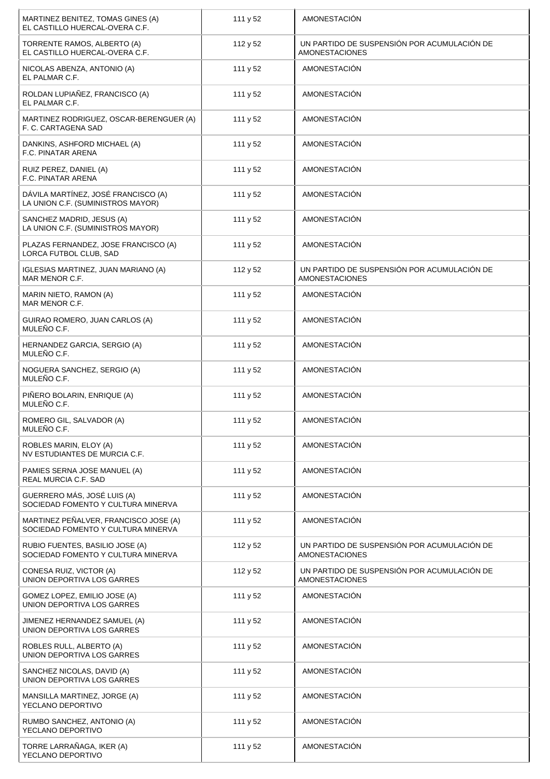| MARTINEZ BENITEZ, TOMAS GINES (A)<br>EL CASTILLO HUERCAL-OVERA C.F.         | 111 y 52 | AMONESTACIÓN                                                         |
|-----------------------------------------------------------------------------|----------|----------------------------------------------------------------------|
| TORRENTE RAMOS, ALBERTO (A)<br>EL CASTILLO HUERCAL-OVERA C.F.               | 112 y 52 | UN PARTIDO DE SUSPENSIÓN POR ACUMULACIÓN DE<br><b>AMONESTACIONES</b> |
| NICOLAS ABENZA, ANTONIO (A)<br>EL PALMAR C.F.                               | 111 y 52 | AMONESTACIÓN                                                         |
| ROLDAN LUPIAÑEZ, FRANCISCO (A)<br>EL PALMAR C.F.                            | 111 y 52 | <b>AMONESTACIÓN</b>                                                  |
| MARTINEZ RODRIGUEZ, OSCAR-BERENGUER (A)<br>F. C. CARTAGENA SAD              | 111 y 52 | AMONESTACIÓN                                                         |
| DANKINS, ASHFORD MICHAEL (A)<br>F.C. PINATAR ARENA                          | 111 y 52 | AMONESTACIÓN                                                         |
| RUIZ PEREZ, DANIEL (A)<br>F.C. PINATAR ARENA                                | 111 y 52 | <b>AMONESTACIÓN</b>                                                  |
| DÁVILA MARTÍNEZ, JOSÉ FRANCISCO (A)<br>LA UNION C.F. (SUMINISTROS MAYOR)    | 111 y 52 | <b>AMONESTACIÓN</b>                                                  |
| SANCHEZ MADRID, JESUS (A)<br>LA UNION C.F. (SUMINISTROS MAYOR)              | 111 y 52 | AMONESTACIÓN                                                         |
| PLAZAS FERNANDEZ, JOSE FRANCISCO (A)<br>LORCA FUTBOL CLUB, SAD              | 111 y 52 | <b>AMONESTACIÓN</b>                                                  |
| IGLESIAS MARTINEZ, JUAN MARIANO (A)<br>MAR MENOR C.F.                       | 112 y 52 | UN PARTIDO DE SUSPENSIÓN POR ACUMULACIÓN DE<br><b>AMONESTACIONES</b> |
| MARIN NIETO, RAMON (A)<br>MAR MENOR C.F.                                    | 111 y 52 | AMONESTACIÓN                                                         |
| GUIRAO ROMERO, JUAN CARLOS (A)<br>MULEÑO C.F.                               | 111 y 52 | AMONESTACIÓN                                                         |
| HERNANDEZ GARCIA, SERGIO (A)<br>MULEÑO C.F.                                 | 111 y 52 | AMONESTACIÓN                                                         |
| NOGUERA SANCHEZ, SERGIO (A)<br>MULEÑO C.F.                                  | 111 y 52 | AMONESTACIÓN                                                         |
| PIÑERO BOLARIN, ENRIQUE (A)<br>MULEÑO C.F.                                  | 111 y 52 | AMONESTACIÓN                                                         |
| ROMERO GIL, SALVADOR (A)<br>MULENO C.F.                                     | 111 y 52 | AMONESTACIÓN                                                         |
| ROBLES MARIN, ELOY (A)<br>NV ESTUDIANTES DE MURCIA C.F.                     | 111 y 52 | AMONESTACIÓN                                                         |
| PAMIES SERNA JOSE MANUEL (A)<br>REAL MURCIA C.F. SAD                        | 111 y 52 | AMONESTACIÓN                                                         |
| GUERRERO MÁS, JOSÉ LUIS (A)<br>SOCIEDAD FOMENTO Y CULTURA MINERVA           | 111 y 52 | <b>AMONESTACIÓN</b>                                                  |
| MARTINEZ PEÑALVER, FRANCISCO JOSE (A)<br>SOCIEDAD FOMENTO Y CULTURA MINERVA | 111 y 52 | <b>AMONESTACIÓN</b>                                                  |
| RUBIO FUENTES, BASILIO JOSE (A)<br>SOCIEDAD FOMENTO Y CULTURA MINERVA       | 112 y 52 | UN PARTIDO DE SUSPENSIÓN POR ACUMULACIÓN DE<br><b>AMONESTACIONES</b> |
| CONESA RUIZ, VICTOR (A)<br>UNION DEPORTIVA LOS GARRES                       | 112 y 52 | UN PARTIDO DE SUSPENSIÓN POR ACUMULACIÓN DE<br><b>AMONESTACIONES</b> |
| GOMEZ LOPEZ, EMILIO JOSE (A)<br>UNION DEPORTIVA LOS GARRES                  | 111 y 52 | AMONESTACIÓN                                                         |
| JIMENEZ HERNANDEZ SAMUEL (A)<br>UNION DEPORTIVA LOS GARRES                  | 111 y 52 | AMONESTACIÓN                                                         |
| ROBLES RULL, ALBERTO (A)<br>UNION DEPORTIVA LOS GARRES                      | 111 y 52 | AMONESTACIÓN                                                         |
| SANCHEZ NICOLAS, DAVID (A)<br>UNION DEPORTIVA LOS GARRES                    | 111 y 52 | <b>AMONESTACIÓN</b>                                                  |
| MANSILLA MARTINEZ, JORGE (A)<br>YECLANO DEPORTIVO                           | 111 y 52 | AMONESTACIÓN                                                         |
| RUMBO SANCHEZ, ANTONIO (A)<br>YECLANO DEPORTIVO                             | 111 y 52 | <b>AMONESTACIÓN</b>                                                  |
| TORRE LARRAÑAGA, IKER (A)<br>YECLANO DEPORTIVO                              | 111 y 52 | AMONESTACIÓN                                                         |